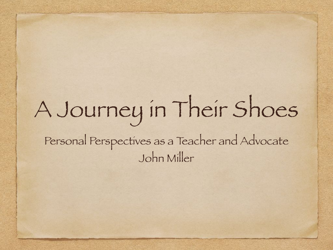### A Journey in Their Shoes Personal Perspectives as a Teacher and Advocate John Miller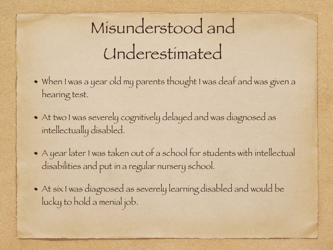### Misunderstood and Underestimated

- When I was a year old my parents thought I was deaf and was given a hearing test.
- At two I was severely cognitively delayed and was diagnosed as intellectually disabled.
- A year later I was taken out of a school for students with intellectual disabilities and put in a regular nursery school.
- At six I was diagnosed as severely learning disabled and would be lucky to hold a menial job.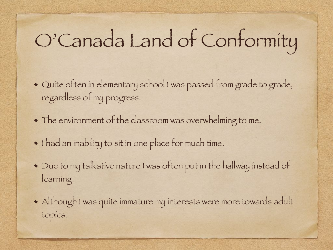## O'Canada Land of Conformity

- Quite often in elementary school I was passed from grade to grade, regardless of my progress.
- The environment of the classroom was overwhelming to me.
- $\bullet$  I had an inability to sit in one place for much time.
- Due to my talkative nature I was often put in the hallway instead of learning.
- Although I was quite immature my interests were more towards adult topics.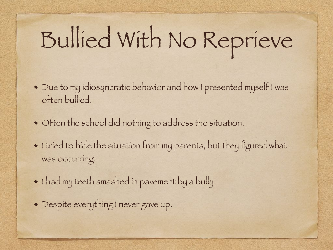# Bullied With No Reprieve

- Due to my idiosyncratic behavior and how I presented myself I was often bullied.
- Often the school did nothing to address the situation.
- $\bullet$  I tried to hide the situation from my parents, but they figured what was occurring.
- $\bullet$  I had my teeth smashed in pavement by a bully.
- Despite everything I never gave up.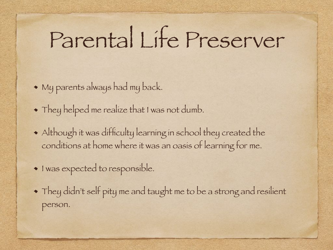## Parental Life Preserver

- My parents always had my back.
- They helped me realize that I was not dumb.
- Although it was difficulty learning in school they created the conditions at home where it was an oasis of learning for me.
- $\bullet$  I was expected to responsible.
- They didn't self pity me and taught me to be a strong and resilient person.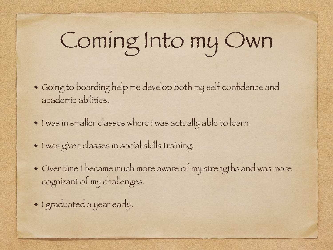## Coming Into my Own

- Going to boarding help me develop both my self confidence and academic abilities.
- $\bullet$  I was in smaller classes where i was actually able to learn.
- I was given classes in social skills training.
- Over time I became much more aware of my strengths and was more cognizant of my challenges.
- I graduated a year early.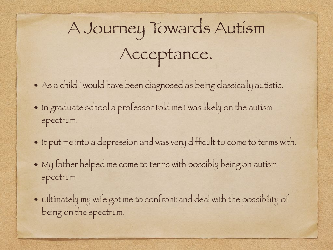## A Journey Towards Autism Acceptance.

- As a child I would have been diagnosed as being classically autistic.
- In graduate school a professor told me I was likely on the autism spectrum.
- It put me into a depression and was very difficult to come to terms with.
- My father helped me come to terms with possibly being on autism spectrum.
- Ultimately my wife got me to confront and deal with the possibility of being on the spectrum.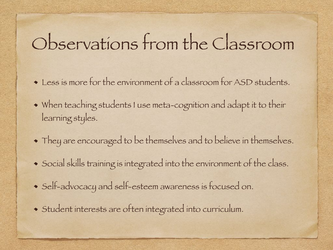#### Observations from the Classroom

- Less is more for the environment of a classroom for ASD students.
- When teaching students I use meta-cognition and adapt it to their learning styles.
- They are encouraged to be themselves and to believe in themselves.
- Social skills training is integrated into the environment of the class.
- Self-advocacy and self-esteem awareness is focused on.
- Student interests are often integrated into curriculum.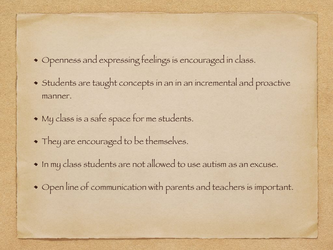- Openness and expressing feelings is encouraged in class.
- Students are taught concepts in an in an incremental and proactive manner.
- My class is a safe space for me students.
- They are encouraged to be themselves.
- In my class students are not allowed to use autism as an excuse.
- Open line of communication with parents and teachers is important.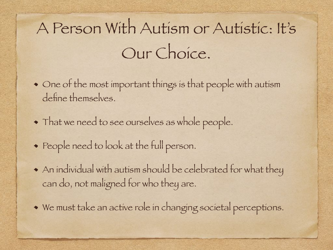### A Person With Autism or Autistic: It's Our Choice.

- One of the most important things is that people with autism define themselves.
- That we need to see ourselves as whole people.
- People need to look at the full person.
- An individual with autism should be celebrated for what they can do, not maligned for who they are.
- We must take an active role in changing societal perceptions.